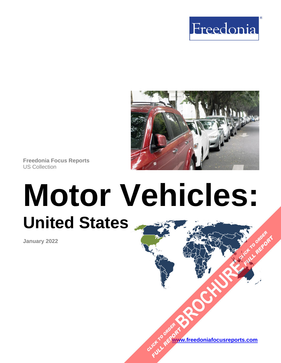



**Freedonia Focus Reports** US Collection

# **Motor Vehicles: United States [BROCHURE](https://www.freedoniafocusreports.com/Motor-Vehicles-United-States-FF85029/?progid=89541) CLICK TO ORDER**

**January 2022**

**[www.freedoniafocusreports.com](https://www.freedoniafocusreports.com/redirect.asp?progid=89534&url=/)** CLICK TO ORDER **FULL REPORT** 

**FULL REPORT**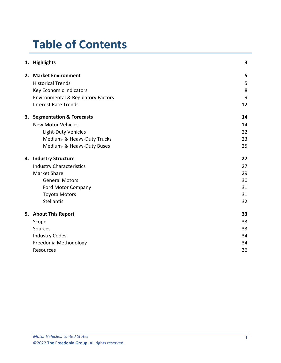# **Table of Contents**

|    | 1. Highlights                                 | 3  |
|----|-----------------------------------------------|----|
| 2. | <b>Market Environment</b>                     | 5  |
|    | <b>Historical Trends</b>                      | 5  |
|    | Key Economic Indicators                       | 8  |
|    | <b>Environmental &amp; Regulatory Factors</b> | 9  |
|    | <b>Interest Rate Trends</b>                   | 12 |
|    | 3. Segmentation & Forecasts                   | 14 |
|    | <b>New Motor Vehicles</b>                     | 14 |
|    | Light-Duty Vehicles                           | 22 |
|    | Medium- & Heavy-Duty Trucks                   | 23 |
|    | Medium- & Heavy-Duty Buses                    | 25 |
|    | 4. Industry Structure                         | 27 |
|    | <b>Industry Characteristics</b>               | 27 |
|    | <b>Market Share</b>                           | 29 |
|    | <b>General Motors</b>                         | 30 |
|    | Ford Motor Company                            | 31 |
|    | <b>Toyota Motors</b>                          | 31 |
|    | <b>Stellantis</b>                             | 32 |
|    | 5. About This Report                          | 33 |
|    | Scope                                         | 33 |
|    | <b>Sources</b>                                | 33 |
|    | <b>Industry Codes</b>                         | 34 |
|    | Freedonia Methodology                         | 34 |
|    | Resources                                     | 36 |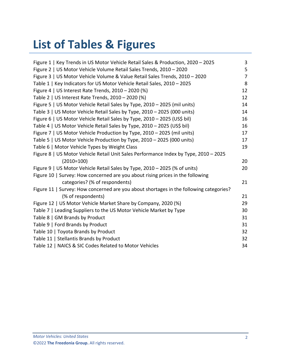# **List of Tables & Figures**

| Figure 1   Key Trends in US Motor Vehicle Retail Sales & Production, 2020 - 2025       | 3              |
|----------------------------------------------------------------------------------------|----------------|
| Figure 2   US Motor Vehicle Volume Retail Sales Trends, 2010 - 2020                    | 5              |
| Figure 3   US Motor Vehicle Volume & Value Retail Sales Trends, 2010 - 2020            | $\overline{7}$ |
| Table 1   Key Indicators for US Motor Vehicle Retail Sales, 2010 - 2025                | 8              |
| Figure 4   US Interest Rate Trends, 2010 - 2020 (%)                                    | 12             |
| Table 2   US Interest Rate Trends, 2010 - 2020 (%)                                     | 12             |
| Figure 5   US Motor Vehicle Retail Sales by Type, 2010 - 2025 (mil units)              | 14             |
| Table 3   US Motor Vehicle Retail Sales by Type, 2010 - 2025 (000 units)               | 14             |
| Figure 6   US Motor Vehicle Retail Sales by Type, 2010 - 2025 (US\$ bil)               | 16             |
| Table 4   US Motor Vehicle Retail Sales by Type, 2010 - 2025 (US\$ bil)                | 16             |
| Figure 7   US Motor Vehicle Production by Type, 2010 - 2025 (mil units)                | 17             |
| Table 5   US Motor Vehicle Production by Type, 2010 - 2025 (000 units)                 | 17             |
| Table 6   Motor Vehicle Types by Weight Class                                          | 19             |
| Figure 8   US Motor Vehicle Retail Unit Sales Performance Index by Type, 2010 - 2025   |                |
| $(2010=100)$                                                                           | 20             |
| Figure 9   US Motor Vehicle Retail Sales by Type, 2010 - 2025 (% of units)             | 20             |
| Figure 10   Survey: How concerned are you about rising prices in the following         |                |
| categories? (% of respondents)                                                         | 21             |
| Figure 11   Survey: How concerned are you about shortages in the following categories? |                |
| (% of respondents)                                                                     | 21             |
| Figure 12   US Motor Vehicle Market Share by Company, 2020 (%)                         | 29             |
| Table 7   Leading Suppliers to the US Motor Vehicle Market by Type                     | 30             |
| Table 8   GM Brands by Product                                                         | 31             |
| Table 9   Ford Brands by Product                                                       | 31             |
| Table 10   Toyota Brands by Product                                                    | 32             |
| Table 11   Stellantis Brands by Product                                                | 32             |
| Table 12   NAICS & SIC Codes Related to Motor Vehicles                                 | 34             |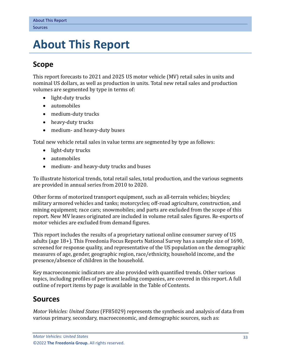# <span id="page-3-0"></span>**5. About This Report**

# <span id="page-3-1"></span>**Scope**

This report forecasts to 2021 and 2025 US motor vehicle (MV) retail sales in units and nominal US dollars, as well as production in units. Total new retail sales and production volumes are segmented by type in terms of:

- light-duty trucks
- automobiles
- medium-duty trucks
- heavy-duty trucks
- medium- and heavy-duty buses

Total new vehicle retail sales in value terms are segmented by type as follows:

- light-duty trucks
- automobiles
- medium- and heavy-duty trucks and buses

To illustrate historical trends, total retail sales, total production, and the various segments are provided in annual series from 2010 to 2020.

Other forms of motorized transport equipment, such as all-terrain vehicles; bicycles; military armored vehicles and tanks; motorcycles; off-road agriculture, construction, and mining equipment; race cars; snowmobiles; and parts are excluded from the scope of this report. New MV leases originated are included in volume retail sales figures. Re-exports of motor vehicles are excluded from demand figures.

This report includes the results of a proprietary national online consumer survey of US adults (age 18+). This Freedonia Focus Reports National Survey has a sample size of 1690, screened for response quality, and representative of the US population on the demographic measures of age, gender, geographic region, race/ethnicity, household income, and the presence/absence of children in the household.

Key macroeconomic indicators are also provided with quantified trends. Other various topics, including profiles of pertinent leading companies, are covered in this report. A full outline of report items by page is available in the Table of Contents.

## <span id="page-3-2"></span>**Sources**

*Motor Vehicles: United States* (FF85029) represents the synthesis and analysis of data from various primary, secondary, macroeconomic, and demographic sources, such as: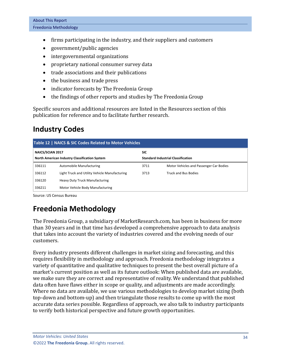- firms participating in the industry, and their suppliers and customers
- government/public agencies
- intergovernmental organizations
- proprietary national consumer survey data
- trade associations and their publications
- the business and trade press
- indicator forecasts by The Freedonia Group
- the findings of other reports and studies by The Freedonia Group

Specific sources and additional resources are listed in the Resources section of this publication for reference and to facilitate further research.

# <span id="page-4-0"></span>**Industry Codes**

<span id="page-4-2"></span>

| Table 12   NAICS & SIC Codes Related to Motor Vehicles                   |                                               |            |                                           |  |  |  |  |
|--------------------------------------------------------------------------|-----------------------------------------------|------------|-------------------------------------------|--|--|--|--|
| NAICS/SCIAN 2017<br><b>North American Industry Classification System</b> |                                               | <b>SIC</b> | <b>Standard Industrial Classification</b> |  |  |  |  |
| 336111                                                                   | <b>Automobile Manufacturing</b>               | 3711       | Motor Vehicles and Passenger Car Bodies   |  |  |  |  |
| 336112                                                                   | Light Truck and Utility Vehicle Manufacturing | 3713       | <b>Truck and Bus Bodies</b>               |  |  |  |  |
| 336120                                                                   | <b>Heavy Duty Truck Manufacturing</b>         |            |                                           |  |  |  |  |
| 336211                                                                   | Motor Vehicle Body Manufacturing              |            |                                           |  |  |  |  |

Source: US Census Bureau

# <span id="page-4-1"></span>**Freedonia Methodology**

The Freedonia Group, a subsidiary of MarketResearch.com, has been in business for more than 30 years and in that time has developed a comprehensive approach to data analysis that takes into account the variety of industries covered and the evolving needs of our customers.

Every industry presents different challenges in market sizing and forecasting, and this requires flexibility in methodology and approach. Freedonia methodology integrates a variety of quantitative and qualitative techniques to present the best overall picture of a market's current position as well as its future outlook: When published data are available, we make sure they are correct and representative of reality. We understand that published data often have flaws either in scope or quality, and adjustments are made accordingly. Where no data are available, we use various methodologies to develop market sizing (both top-down and bottom-up) and then triangulate those results to come up with the most accurate data series possible. Regardless of approach, we also talk to industry participants to verify both historical perspective and future growth opportunities.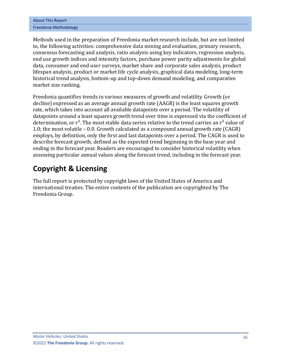| <b>About This Report</b> |
|--------------------------|
| Freedonia Methodology    |

Methods used in the preparation of Freedonia market research include, but are not limited to, the following activities: comprehensive data mining and evaluation, primary research, consensus forecasting and analysis, ratio analysis using key indicators, regression analysis, end use growth indices and intensity factors, purchase power parity adjustments for global data, consumer and end user surveys, market share and corporate sales analysis, product lifespan analysis, product or market life cycle analysis, graphical data modeling, long-term historical trend analysis, bottom-up and top-down demand modeling, and comparative market size ranking.

Freedonia quantifies trends in various measures of growth and volatility. Growth (or decline) expressed as an average annual growth rate (AAGR) is the least squares growth rate, which takes into account all available datapoints over a period. The volatility of datapoints around a least squares growth trend over time is expressed via the coefficient of determination, or  $r^2$ . The most stable data series relative to the trend carries an  $r^2$  value of 1.0; the most volatile – 0.0. Growth calculated as a compound annual growth rate (CAGR) employs, by definition, only the first and last datapoints over a period. The CAGR is used to describe forecast growth, defined as the expected trend beginning in the base year and ending in the forecast year. Readers are encouraged to consider historical volatility when assessing particular annual values along the forecast trend, including in the forecast year.

# **Copyright & Licensing**

The full report is protected by copyright laws of the United States of America and international treaties. The entire contents of the publication are copyrighted by The Freedonia Group.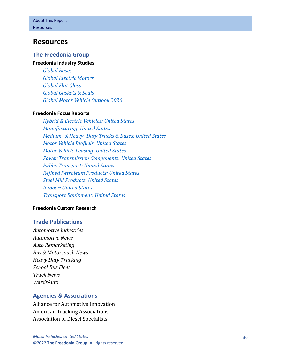## <span id="page-6-0"></span>**Resources**

#### **The Freedonia Group**

#### **[Freedonia Industry](http://www.freedoniagroup.com/Home.aspx?ReferrerId=FL-Focus) Studies**

*[Global Buses](http://www.freedoniagroup.com/DocumentDetails.aspx?ReferrerId=FL-FOCUS&studyid=3733) [Global Electric Motors](http://www.freedoniagroup.com/DocumentDetails.aspx?ReferrerId=FL-FOCUS&studyid=W1002) [Global Flat Glass](http://www.freedoniagroup.com/DocumentDetails.aspx?ReferrerId=FL-FOCUS&studyid=3794) [Global Gaskets & Seals](http://www.freedoniagroup.com/DocumentDetails.aspx?ReferrerId=FL-FOCUS&studyid=3807) [Global Motor Vehicle Outlook 2020](http://www.freedoniagroup.com/DocumentDetails.aspx?ReferrerId=FL-FOCUS&studyid=3838)*

#### **[Freedonia Focus Reports](https://www.freedoniafocusreports.com/redirect.asp?progid=89534&url=/)**

*[Hybrid & Electric Vehicles: United States](https://www.freedoniafocusreports.com/Hybrid-Electric-Vehicles-United-States-FF85023/?progid=89534) [Manufacturing: United States](https://www.freedoniafocusreports.com/Manufacturing-United-States-FF70032/?progid=89534) Medium- & Heavy- [Duty Trucks & Buses: United States](https://www.freedoniafocusreports.com/Medium-Heavy-Duty-Trucks-Buses-United-States-FF85014/?progid=89534) [Motor Vehicle Biofuels: United States](https://www.freedoniafocusreports.com/Motor-Vehicle-Biofuels-United-States-FF45035/?progid=89534) [Motor Vehicle Leasing: United States](https://www.freedoniafocusreports.com/Motor-Vehicle-Leasing-United-States-FF95043/?progid=89534) [Power Transmission Components: United States](https://www.freedoniafocusreports.com/Power-Transmission-Components-United-States-FF70010/?progid=89534) [Public Transport: United States](https://www.freedoniafocusreports.com/Public-Transport-United-States-FF95059/?progid=89534) [Refined Petroleum Products: United States](https://www.freedoniafocusreports.com/Refined-Petroleum-Products-United-States-FF45023/?progid=89534) [Steel Mill Products: United States](https://www.freedoniafocusreports.com/Steel-Mill-Products-United-States-FF65013/?progid=89534) [Rubber: United States](https://www.freedoniafocusreports.com/Rubber-United-States-FF50017/?progid=89534) [Transport Equipment: United States](https://www.freedoniafocusreports.com/Transport-Equipment-United-States-FF85030/?progid=89534)*

#### **[Freedonia Custom Research](http://www.freedoniagroup.com/CustomResearch.aspx?ReferrerId=FL-Focus)**

#### **Trade Publications**

*Automotive Industries Automotive News Auto Remarketing Bus & Motorcoach News Heavy Duty Trucking School Bus Fleet Truck News WardsAuto*

### **Agencies & Associations**

Alliance for Automotive Innovation American Trucking Associations Association of Diesel Specialists